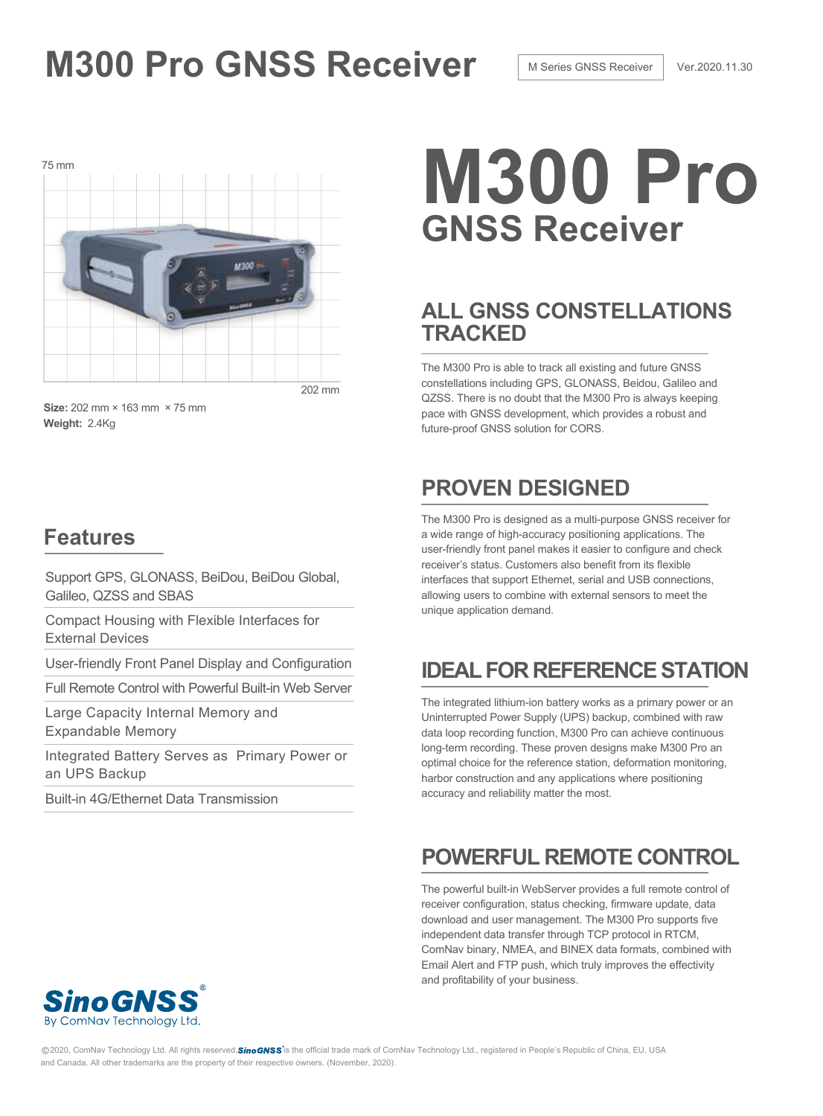# **M300 Pro GNSS Receiver M Series GNSS Receiver Ver.2020.11.30**



**Size:** 202 mm × 163 mm × 75 mm **Weight:** 2.4Kg

### **Features**

Support GPS, GLONASS, BeiDou, BeiDou Global, Galileo, QZSS and SBAS

Compact Housing with Flexible Interfaces for External Devices

User-friendly Front Panel Display and Configuration

Full Remote Control with Powerful Built-in Web Server

Large Capacity Internal Memory and Expandable Memory

Integrated Battery Serves as Primary Power or an UPS Backup

Built-in 4G/Ethernet Data Transmission

# 75 mm **M300 Pro GNSS Receiver**

## **ALL GNSS CONSTELLATIONS TRACKED**

The M300 Pro is able to track all existing and future GNSS constellations including GPS, GLONASS, Beidou, Galileo and QZSS. There is no doubt that the M300 Pro is always keeping pace with GNSS development, which provides a robust and future-proof GNSS solution for CORS.

## **PROVEN DESIGNED**

The M300 Pro is designed as a multi-purpose GNSS receiver for a wide range of high-accuracy positioning applications. The user-friendly front panel makes it easier to configure and check receiver's status. Customers also benefit from its flexible interfaces that support Ethernet, serial and USB connections, allowing users to combine with external sensors to meet the unique application demand.

## **IDEAL FOR REFERENCE STATION**

The integrated lithium-ion battery works as a primary power or an Uninterrupted Power Supply (UPS) backup, combined with raw data loop recording function, M300 Pro can achieve continuous long-term recording. These proven designs make M300 Pro an optimal choice for the reference station, deformation monitoring, harbor construction and any applications where positioning accuracy and reliability matter the most.

## **POWERFUL REMOTE CONTROL**

The powerful built-in WebServer provides a full remote control of receiver configuration, status checking, firmware update, data download and user management. The M300 Pro supports five independent data transfer through TCP protocol in RTCM, ComNav binary, NMEA, and BINEX data formats, combined with Email Alert and FTP push, which truly improves the effectivity and profitability of your business.



@2020, ComNav Technology Ltd. All rights reserved.SinoGNSS is the official trade mark of ComNav Technology Ltd., registered in People's Republic of China, EU, USA and Canada. All other trademarks are the property of their respective owners. (November, 2020).